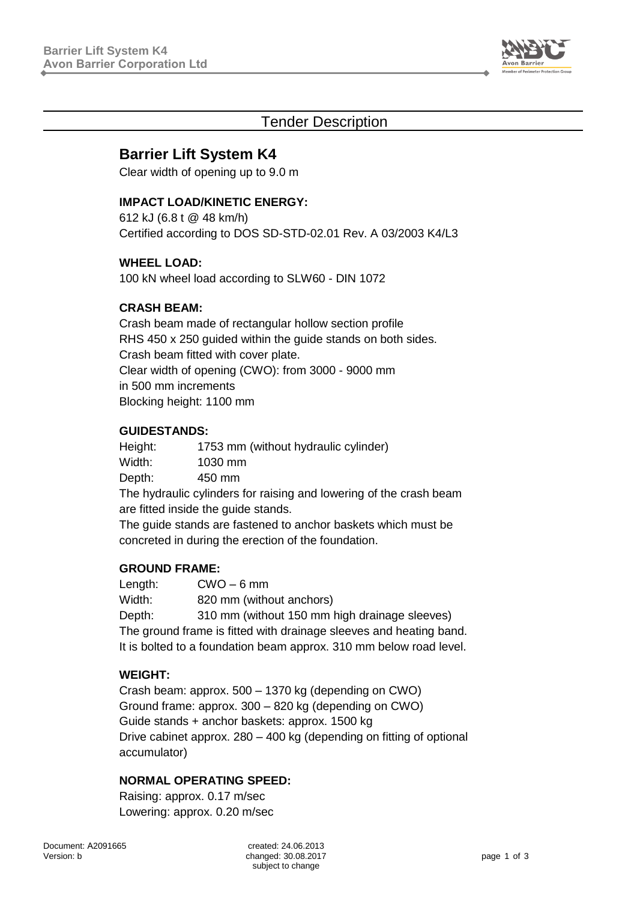

## Tender Description

# **Barrier Lift System K4**

Clear width of opening up to 9.0 m

### **IMPACT LOAD/KINETIC ENERGY:**

612 kJ (6.8 t @ 48 km/h) Certified according to DOS SD-STD-02.01 Rev. A 03/2003 K4/L3

#### **WHEEL LOAD:**

100 kN wheel load according to SLW60 - DIN 1072

### **CRASH BEAM:**

Crash beam made of rectangular hollow section profile RHS 450 x 250 guided within the guide stands on both sides. Crash beam fitted with cover plate. Clear width of opening (CWO): from 3000 - 9000 mm in 500 mm increments Blocking height: 1100 mm

#### **GUIDESTANDS:**

Height: 1753 mm (without hydraulic cylinder) Width: 1030 mm Depth: 450 mm The hydraulic cylinders for raising and lowering of the crash beam are fitted inside the guide stands.

The guide stands are fastened to anchor baskets which must be concreted in during the erection of the foundation.

#### **GROUND FRAME:**

Length: CWO – 6 mm Width: 820 mm (without anchors) Depth: 310 mm (without 150 mm high drainage sleeves) The ground frame is fitted with drainage sleeves and heating band. It is bolted to a foundation beam approx. 310 mm below road level.

### **WEIGHT:**

Crash beam: approx. 500 – 1370 kg (depending on CWO) Ground frame: approx. 300 – 820 kg (depending on CWO) Guide stands + anchor baskets: approx. 1500 kg Drive cabinet approx. 280 – 400 kg (depending on fitting of optional accumulator)

### **NORMAL OPERATING SPEED:**

Raising: approx. 0.17 m/sec Lowering: approx. 0.20 m/sec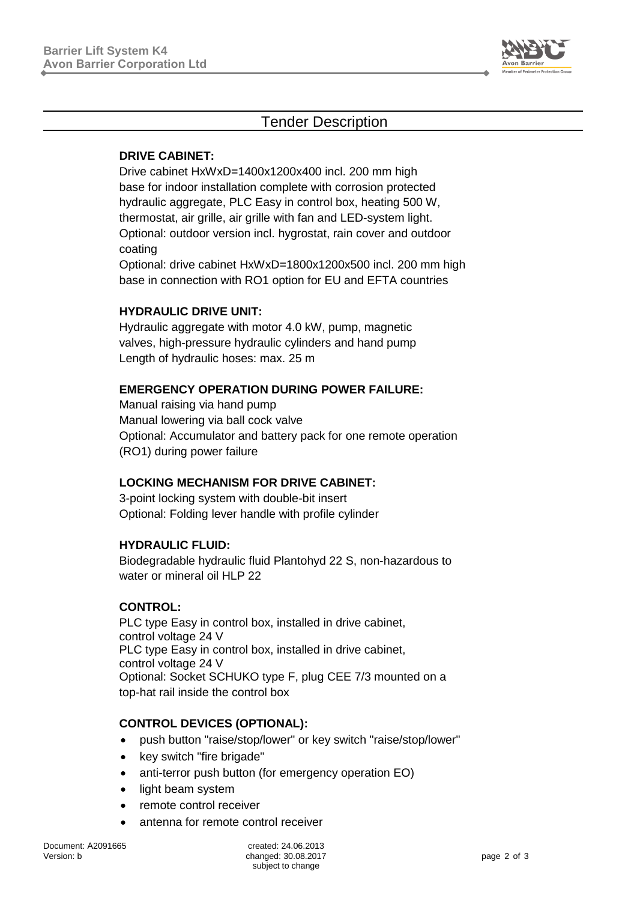

## Tender Description

#### **DRIVE CABINET:**

Drive cabinet HxWxD=1400x1200x400 incl. 200 mm high base for indoor installation complete with corrosion protected hydraulic aggregate, PLC Easy in control box, heating 500 W, thermostat, air grille, air grille with fan and LED-system light. Optional: outdoor version incl. hygrostat, rain cover and outdoor coating

Optional: drive cabinet HxWxD=1800x1200x500 incl. 200 mm high base in connection with RO1 option for EU and EFTA countries

### **HYDRAULIC DRIVE UNIT:**

Hydraulic aggregate with motor 4.0 kW, pump, magnetic valves, high-pressure hydraulic cylinders and hand pump Length of hydraulic hoses: max. 25 m

#### **EMERGENCY OPERATION DURING POWER FAILURE:**

Manual raising via hand pump Manual lowering via ball cock valve Optional: Accumulator and battery pack for one remote operation (RO1) during power failure

#### **LOCKING MECHANISM FOR DRIVE CABINET:**

3-point locking system with double-bit insert Optional: Folding lever handle with profile cylinder

#### **HYDRAULIC FLUID:**

Biodegradable hydraulic fluid Plantohyd 22 S, non-hazardous to water or mineral oil HLP 22

#### **CONTROL:**

PLC type Easy in control box, installed in drive cabinet, control voltage 24 V PLC type Easy in control box, installed in drive cabinet, control voltage 24 V Optional: Socket SCHUKO type F, plug CEE 7/3 mounted on a top-hat rail inside the control box

#### **CONTROL DEVICES (OPTIONAL):**

- push button "raise/stop/lower" or key switch "raise/stop/lower"
- key switch "fire brigade"
- anti-terror push button (for emergency operation EO)
- light beam system
- remote control receiver
- antenna for remote control receiver